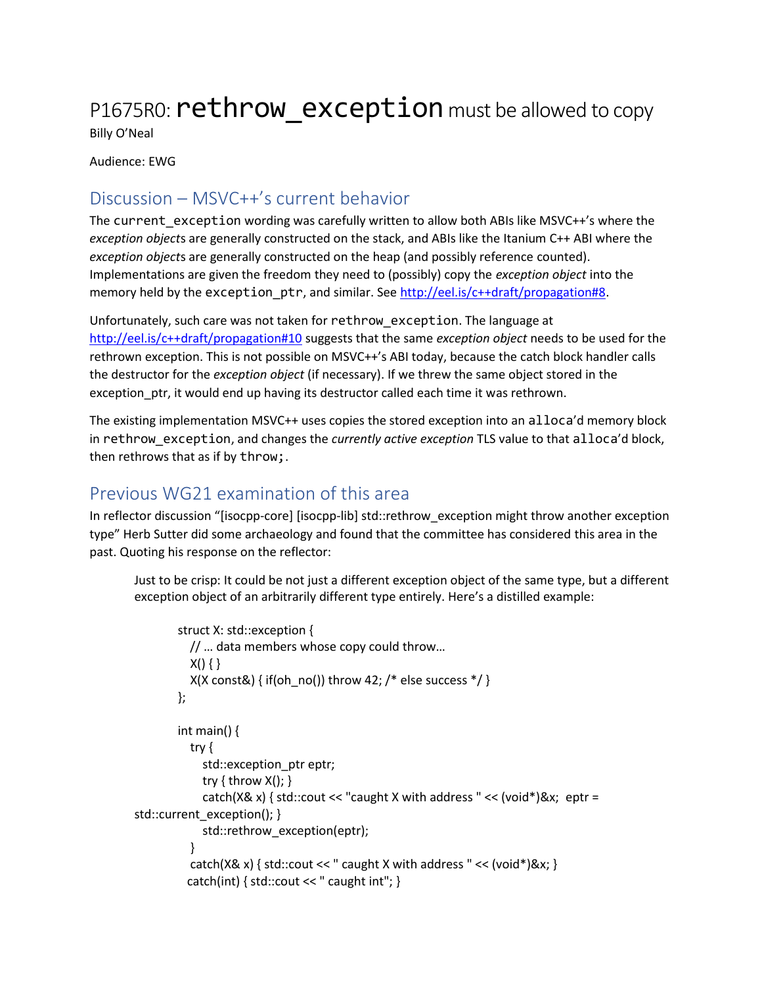# P1675R0: **rethrow** exception must be allowed to copy

Billy O'Neal

Audience: EWG

## Discussion – MSVC++'s current behavior

The current\_exception wording was carefully written to allow both ABIs like MSVC++'s where the *exception object*s are generally constructed on the stack, and ABIs like the Itanium C++ ABI where the *exception object*s are generally constructed on the heap (and possibly reference counted). Implementations are given the freedom they need to (possibly) copy the *exception object* into the memory held by the exception\_ptr, and similar. See http://eel.is/c++draft/propagation#8.

Unfortunately, such care was not taken for rethrow\_exception. The language at http://eel.is/c++draft/propagation#10 suggests that the same *exception object* needs to be used for the rethrown exception. This is not possible on MSVC++'s ABI today, because the catch block handler calls the destructor for the *exception object* (if necessary). If we threw the same object stored in the exception ptr, it would end up having its destructor called each time it was rethrown.

The existing implementation MSVC++ uses copies the stored exception into an alloca'd memory block in rethrow exception, and changes the *currently active exception* TLS value to that alloca'd block, then rethrows that as if by throw;.

## Previous WG21 examination of this area

In reflector discussion "[isocpp-core] [isocpp-lib] std::rethrow\_exception might throw another exception type" Herb Sutter did some archaeology and found that the committee has considered this area in the past. Quoting his response on the reflector:

Just to be crisp: It could be not just a different exception object of the same type, but a different exception object of an arbitrarily different type entirely. Here's a distilled example:

```
struct X: std::exception {
          // … data members whose copy could throw…
          X() \{\}X(X \text{ const} \& ) { if(oh no()) throw 42; /* else success */ }
        };
        int main() \{try {
            std::exception_ptr eptr;
            try \{ throw X(); \}catch(X& x) { std::cout << "caught X with address " << (void*)&x; eptr =
std::current_exception(); }
            std::rethrow_exception(eptr);
          }
          catch(X& x) { std::cout << " caught X with address " << (void*)&x; }
          catch(int) { std::count \ll "caught int";}
```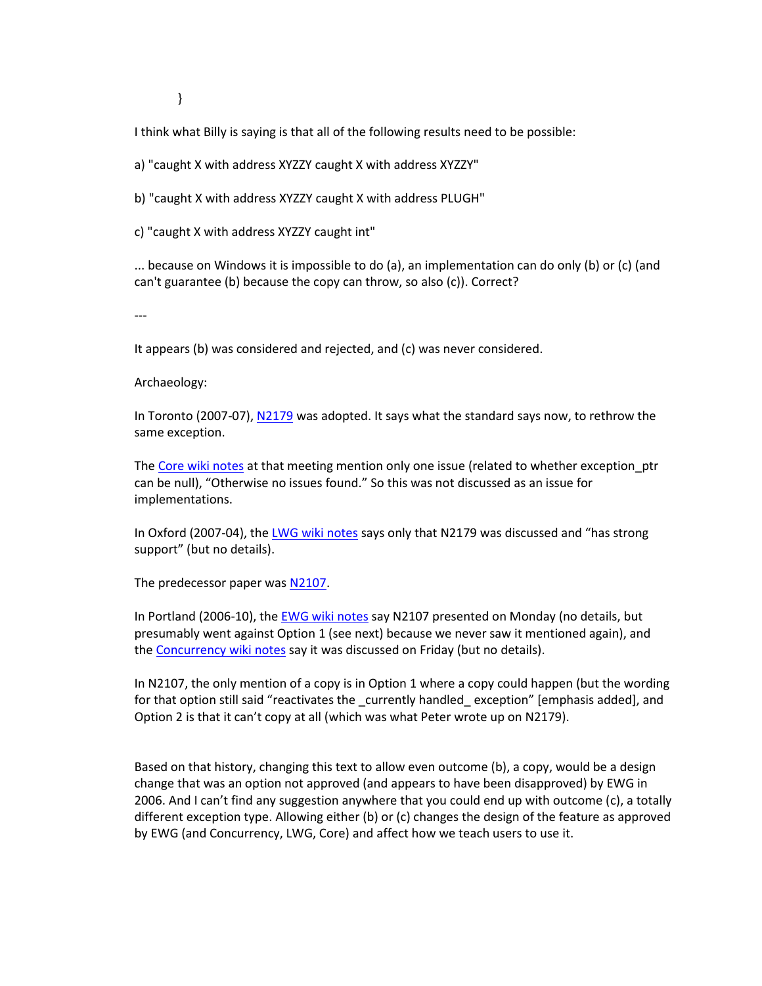}

I think what Billy is saying is that all of the following results need to be possible:

a) "caught X with address XYZZY caught X with address XYZZY"

b) "caught X with address XYZZY caught X with address PLUGH"

c) "caught X with address XYZZY caught int"

... because on Windows it is impossible to do (a), an implementation can do only (b) or (c) (and can't guarantee (b) because the copy can throw, so also (c)). Correct?

---

It appears (b) was considered and rejected, and (c) was never considered.

Archaeology:

In Toronto (2007-07), N2179 was adopted. It says what the standard says now, to rethrow the same exception.

The Core wiki notes at that meeting mention only one issue (related to whether exception\_ptr can be null), "Otherwise no issues found." So this was not discussed as an issue for implementations.

In Oxford (2007-04), the LWG wiki notes says only that N2179 was discussed and "has strong support" (but no details).

The predecessor paper was N2107.

In Portland (2006-10), the EWG wiki notes say N2107 presented on Monday (no details, but presumably went against Option 1 (see next) because we never saw it mentioned again), and the Concurrency wiki notes say it was discussed on Friday (but no details).

In N2107, the only mention of a copy is in Option 1 where a copy could happen (but the wording for that option still said "reactivates the currently handled exception" [emphasis added], and Option 2 is that it can't copy at all (which was what Peter wrote up on N2179).

Based on that history, changing this text to allow even outcome (b), a copy, would be a design change that was an option not approved (and appears to have been disapproved) by EWG in 2006. And I can't find any suggestion anywhere that you could end up with outcome (c), a totally different exception type. Allowing either (b) or (c) changes the design of the feature as approved by EWG (and Concurrency, LWG, Core) and affect how we teach users to use it.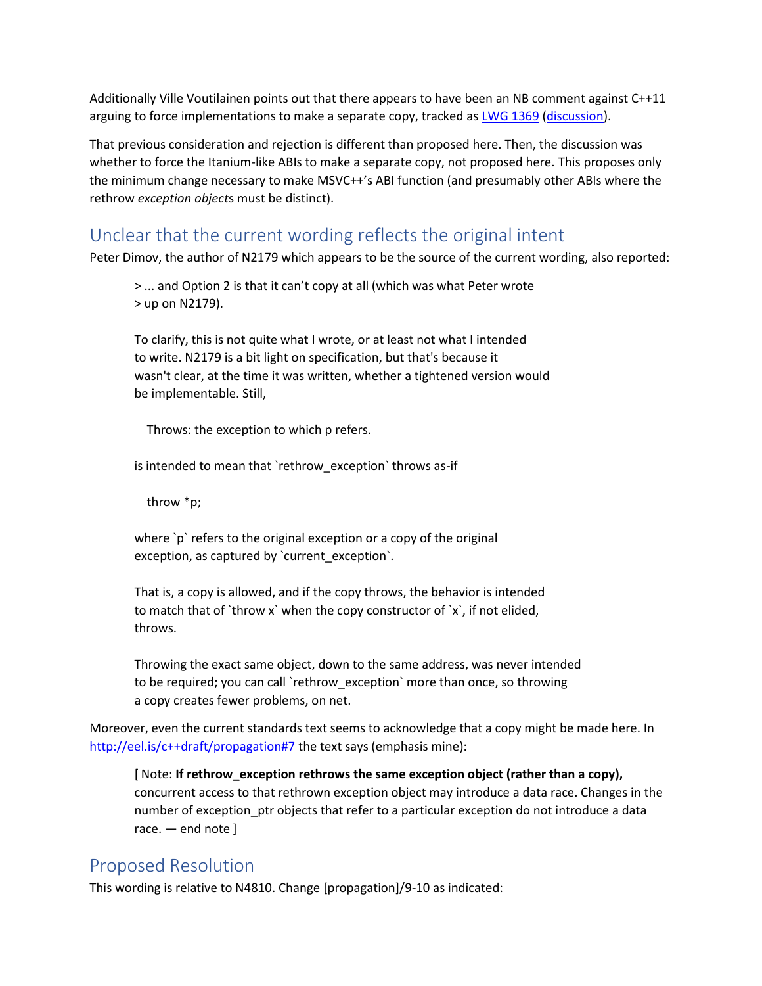Additionally Ville Voutilainen points out that there appears to have been an NB comment against C++11 arguing to force implementations to make a separate copy, tracked as LWG 1369 (discussion).

That previous consideration and rejection is different than proposed here. Then, the discussion was whether to force the Itanium-like ABIs to make a separate copy, not proposed here. This proposes only the minimum change necessary to make MSVC++'s ABI function (and presumably other ABIs where the rethrow *exception object*s must be distinct).

## Unclear that the current wording reflects the original intent

Peter Dimov, the author of N2179 which appears to be the source of the current wording, also reported:

> ... and Option 2 is that it can't copy at all (which was what Peter wrote > up on N2179).

To clarify, this is not quite what I wrote, or at least not what I intended to write. N2179 is a bit light on specification, but that's because it wasn't clear, at the time it was written, whether a tightened version would be implementable. Still,

Throws: the exception to which p refers.

is intended to mean that `rethrow\_exception` throws as-if

throw \*p;

where `p` refers to the original exception or a copy of the original exception, as captured by `current\_exception`.

That is, a copy is allowed, and if the copy throws, the behavior is intended to match that of `throw x` when the copy constructor of `x`, if not elided, throws.

Throwing the exact same object, down to the same address, was never intended to be required; you can call `rethrow\_exception` more than once, so throwing a copy creates fewer problems, on net.

Moreover, even the current standards text seems to acknowledge that a copy might be made here. In http://eel.is/c++draft/propagation#7 the text says (emphasis mine):

[ Note: **If rethrow\_exception rethrows the same exception object (rather than a copy),** concurrent access to that rethrown exception object may introduce a data race. Changes in the number of exception ptr objects that refer to a particular exception do not introduce a data race. — end note ]

## Proposed Resolution

This wording is relative to N4810. Change [propagation]/9-10 as indicated: